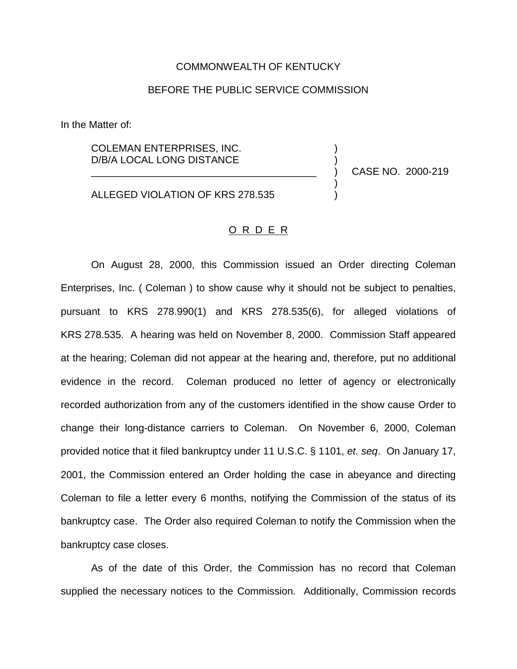## COMMONWEALTH OF KENTUCKY

## BEFORE THE PUBLIC SERVICE COMMISSION

In the Matter of:

COLEMAN ENTERPRISES, INC. ) D/B/A LOCAL LONG DISTANCE )

\_\_\_\_\_\_\_\_\_\_\_\_\_\_\_\_\_\_\_\_\_\_\_\_\_\_\_\_\_\_\_\_\_\_\_\_\_\_\_\_ ) CASE NO. 2000-219

)

ALLEGED VIOLATION OF KRS 278.535

## O R D E R

On August 28, 2000, this Commission issued an Order directing Coleman Enterprises, Inc. ( Coleman ) to show cause why it should not be subject to penalties, pursuant to KRS 278.990(1) and KRS 278.535(6), for alleged violations of KRS 278.535. A hearing was held on November 8, 2000. Commission Staff appeared at the hearing; Coleman did not appear at the hearing and, therefore, put no additional evidence in the record. Coleman produced no letter of agency or electronically recorded authorization from any of the customers identified in the show cause Order to change their long-distance carriers to Coleman. On November 6, 2000, Coleman provided notice that it filed bankruptcy under 11 U.S.C. § 1101, *et. seq*. On January 17, 2001, the Commission entered an Order holding the case in abeyance and directing Coleman to file a letter every 6 months, notifying the Commission of the status of its bankruptcy case. The Order also required Coleman to notify the Commission when the bankruptcy case closes.

As of the date of this Order, the Commission has no record that Coleman supplied the necessary notices to the Commission. Additionally, Commission records